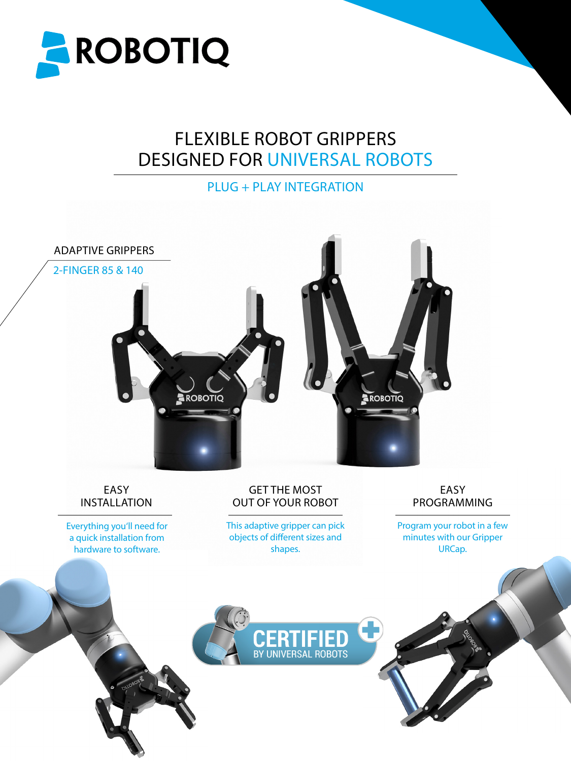

# FLEXIBLE ROBOT GRIPPERS DESIGNED FOR UNIVERSAL ROBOTS

PLUG + PLAY INTEGRATION